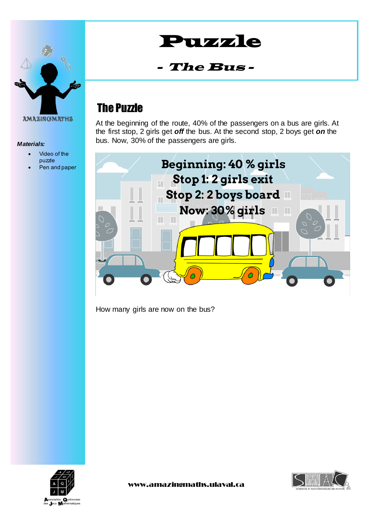

### *Materials:*

- Video of the puzzle
- Pen and paper

# Puzzle

#### -The Bus -

# The Puzzle

At the beginning of the route, 40% of the passengers on a bus are girls. At the first stop, 2 girls get *off* the bus. At the second stop, 2 boys get *on* the bus. Now, 30% of the passengers are girls.



How many girls are now on the bus?



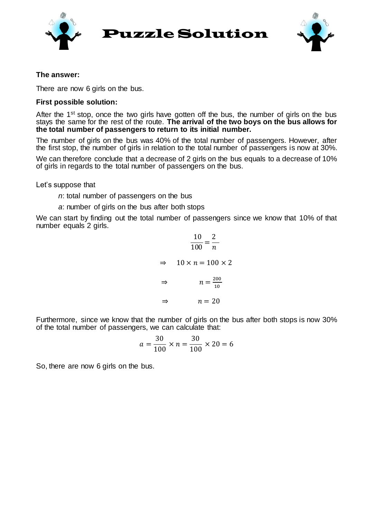

Puzzle Solution



### **The answer:**

There are now 6 girls on the bus.

### **First possible solution:**

After the 1<sup>st</sup> stop, once the two girls have gotten off the bus, the number of girls on the bus stays the same for the rest of the route. **The arrival of the two boys on the bus allows for the total number of passengers to return to its initial number.**

The number of girls on the bus was 40% of the total number of passengers. However, after the first stop, the number of girls in relation to the total number of passengers is now at 30%.

We can therefore conclude that a decrease of 2 girls on the bus equals to a decrease of 10% of girls in regards to the total number of passengers on the bus.

Let's suppose that

*n*: total number of passengers on the bus

*a*: number of girls on the bus after both stops

We can start by finding out the total number of passengers since we know that 10% of that number equals 2 girls.

$$
\frac{10}{100} = \frac{2}{n}
$$
  
\n
$$
\Rightarrow 10 \times n = 100 \times 2
$$
  
\n
$$
\Rightarrow n = \frac{200}{10}
$$
  
\n
$$
\Rightarrow n = 20
$$

Furthermore, since we know that the number of girls on the bus after both stops is now 30% of the total number of passengers, we can calculate that:

$$
a = \frac{30}{100} \times n = \frac{30}{100} \times 20 = 6
$$

So, there are now 6 girls on the bus.